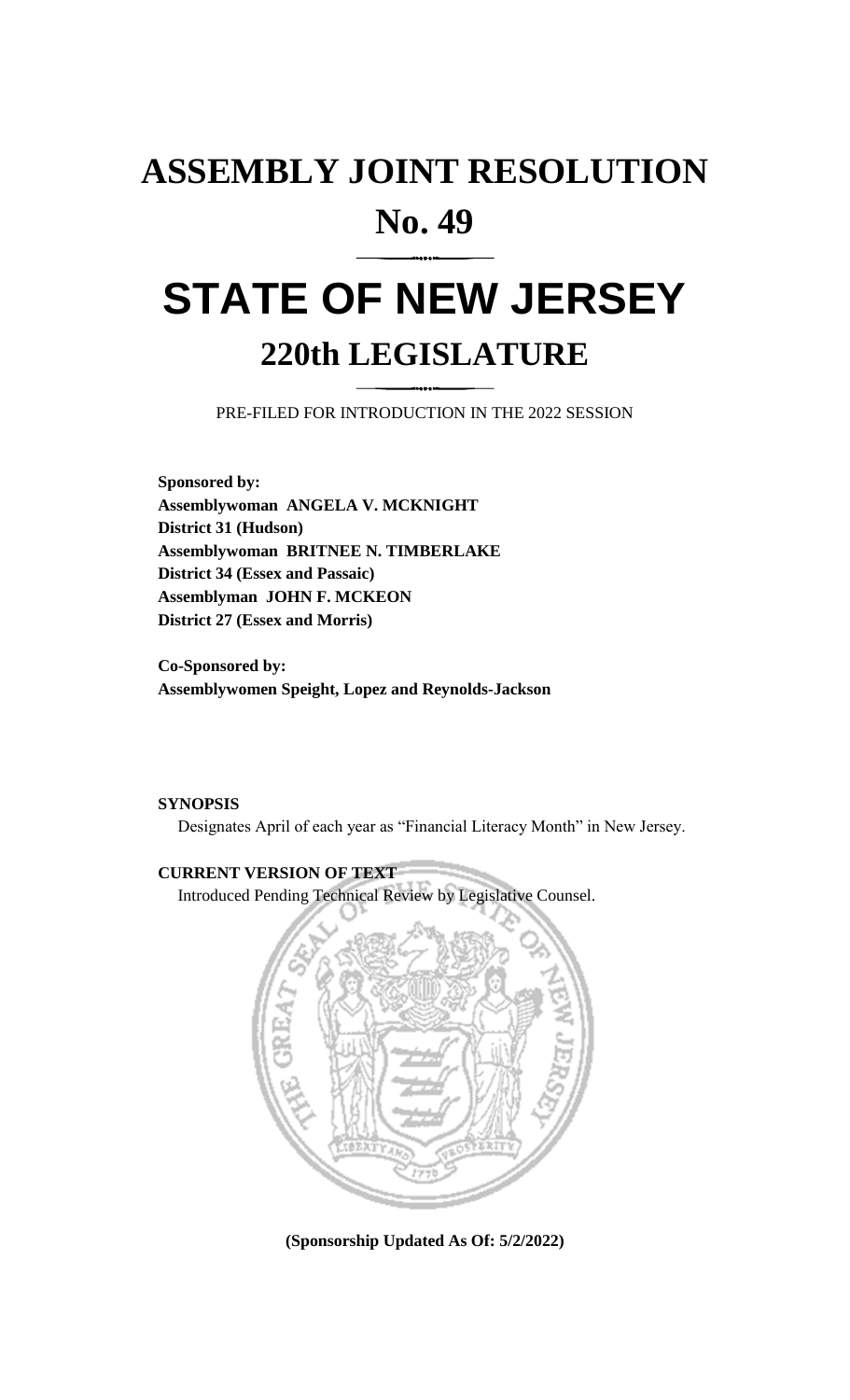## **ASSEMBLY JOINT RESOLUTION No. 49**

# **STATE OF NEW JERSEY 220th LEGISLATURE**

PRE-FILED FOR INTRODUCTION IN THE 2022 SESSION

**Sponsored by: Assemblywoman ANGELA V. MCKNIGHT District 31 (Hudson) Assemblywoman BRITNEE N. TIMBERLAKE District 34 (Essex and Passaic) Assemblyman JOHN F. MCKEON District 27 (Essex and Morris)**

**Co-Sponsored by: Assemblywomen Speight, Lopez and Reynolds-Jackson**

### **SYNOPSIS**

Designates April of each year as "Financial Literacy Month" in New Jersey.

## **CURRENT VERSION OF TEXT**

Introduced Pending Technical Review by Legislative Counsel.



**(Sponsorship Updated As Of: 5/2/2022)**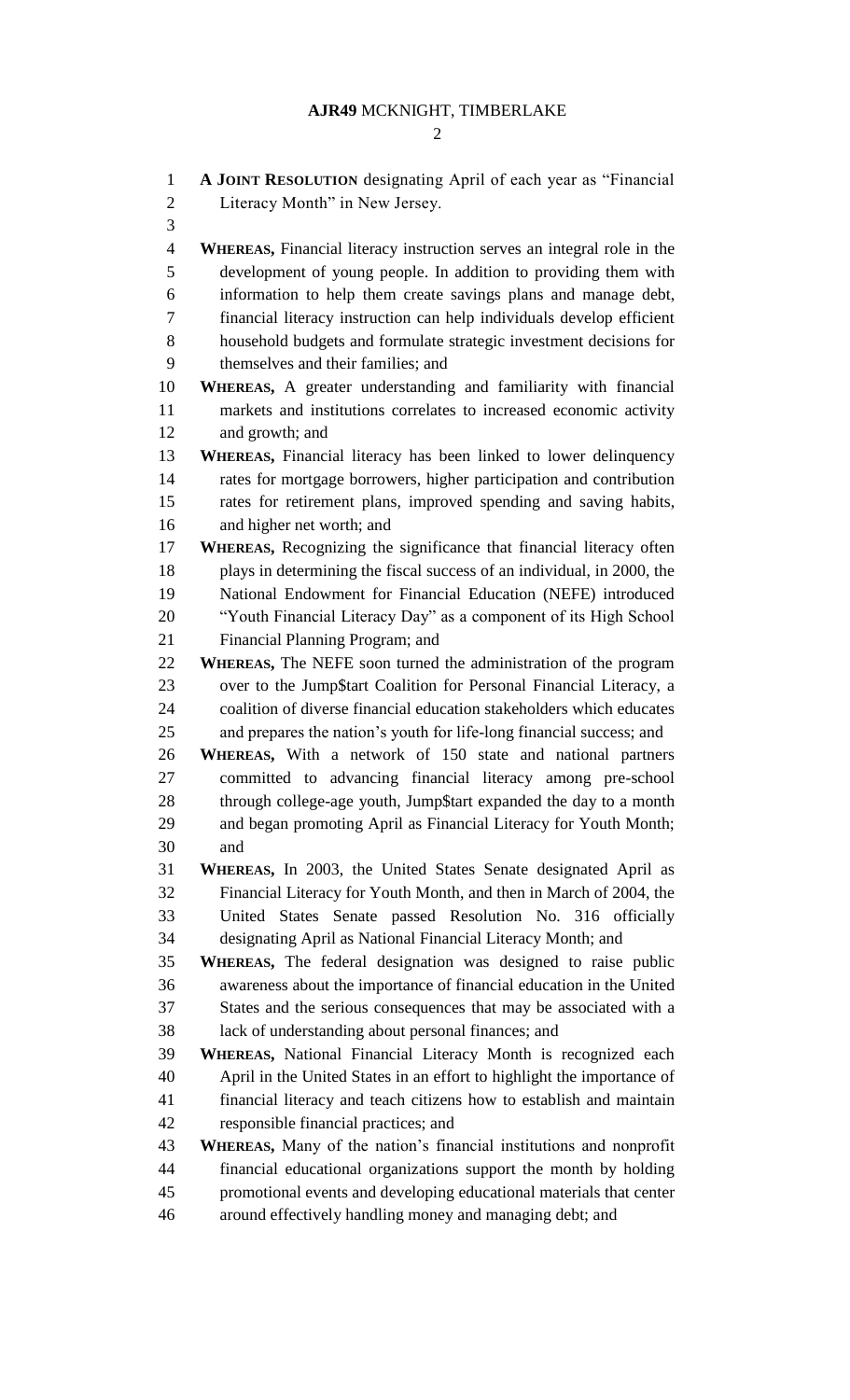## **AJR49** MCKNIGHT, TIMBERLAKE

| $\mathbf{1}$   | A JOINT RESOLUTION designating April of each year as "Financial                |
|----------------|--------------------------------------------------------------------------------|
| $\overline{2}$ | Literacy Month" in New Jersey.                                                 |
| 3              |                                                                                |
| $\overline{4}$ | <b>WHEREAS</b> , Financial literacy instruction serves an integral role in the |
| 5              | development of young people. In addition to providing them with                |
| 6              | information to help them create savings plans and manage debt,                 |
| 7              | financial literacy instruction can help individuals develop efficient          |
| 8              | household budgets and formulate strategic investment decisions for             |
| 9              | themselves and their families; and                                             |
| 10             | WHEREAS, A greater understanding and familiarity with financial                |
| 11             | markets and institutions correlates to increased economic activity             |
| 12             | and growth; and                                                                |
| 13             | <b>WHEREAS, Financial literacy has been linked to lower delinquency</b>        |
| 14             | rates for mortgage borrowers, higher participation and contribution            |
| 15             | rates for retirement plans, improved spending and saving habits,               |
| 16             | and higher net worth; and                                                      |
| 17             | WHEREAS, Recognizing the significance that financial literacy often            |
| 18             | plays in determining the fiscal success of an individual, in 2000, the         |
| 19             | National Endowment for Financial Education (NEFE) introduced                   |
| 20             | "Youth Financial Literacy Day" as a component of its High School               |
| 21             | Financial Planning Program; and                                                |
| 22             | WHEREAS, The NEFE soon turned the administration of the program                |
| 23             | over to the Jump\$tart Coalition for Personal Financial Literacy, a            |
| 24             | coalition of diverse financial education stakeholders which educates           |
| 25             | and prepares the nation's youth for life-long financial success; and           |
| 26             | WHEREAS, With a network of 150 state and national partners                     |
| 27             | committed to advancing financial literacy among pre-school                     |
| 28             | through college-age youth, Jump\$tart expanded the day to a month              |
| 29             | and began promoting April as Financial Literacy for Youth Month;               |
| 30             | and                                                                            |
| 31             | WHEREAS, In 2003, the United States Senate designated April as                 |
| 32             | Financial Literacy for Youth Month, and then in March of 2004, the             |
| 33             | United States Senate passed Resolution No. 316 officially                      |
| 34             | designating April as National Financial Literacy Month; and                    |
| 35             | WHEREAS, The federal designation was designed to raise public                  |
| 36             | awareness about the importance of financial education in the United            |
| 37             | States and the serious consequences that may be associated with a              |
| 38             | lack of understanding about personal finances; and                             |
| 39             | WHEREAS, National Financial Literacy Month is recognized each                  |
| 40             | April in the United States in an effort to highlight the importance of         |
| 41             | financial literacy and teach citizens how to establish and maintain            |
| 42             | responsible financial practices; and                                           |
| 43             | WHEREAS, Many of the nation's financial institutions and nonprofit             |
| 44             | financial educational organizations support the month by holding               |
| 45             | promotional events and developing educational materials that center            |
| 46             | around effectively handling money and managing debt; and                       |